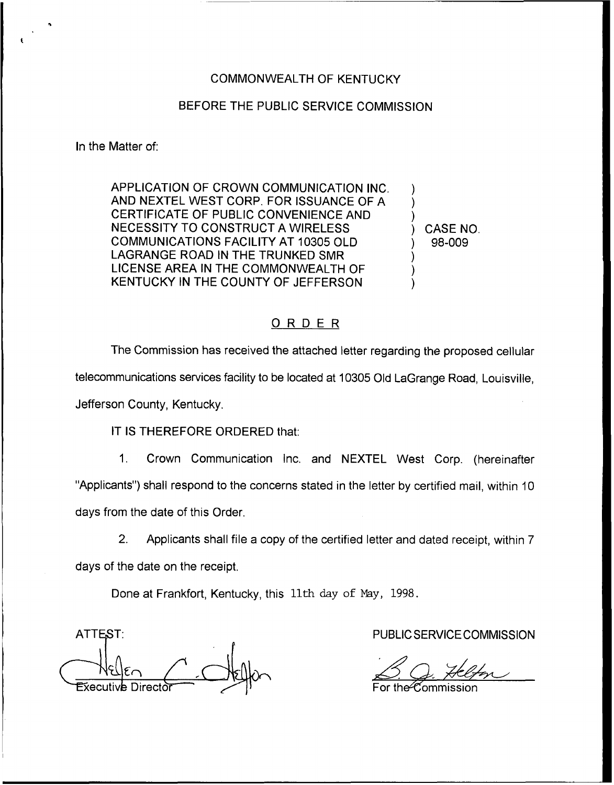## COMMONWEALTH OF KENTUCKY

## BEFORE THE PUBLIC SERVICE COMMISSION

In the Matter of:

APPLICATION OF CROWN COMMUNICATION INC. AND NEXTEL WEST CORP, FOR ISSUANCE OF A CERTIFICATE OF PUBLIC CONVENIENCE AND NECESSITY TO CONSTRUCT A WIRELESS COMMUNICATIONS FACILITY AT 10305 OLD LAGRANGE ROAD IN THE TRUNKED SMR LICENSE AREA IN THE COMMONWEALTH OF KENTUCKY IN THE COUNTY OF JEFFERSON

) CASE NO. ) 98-009

) ) )

) ) )

## ORDER

The Commission has received the attached letter regarding the proposed cellular

telecommunications services facility to be located at 10305 Old LaGrange Road, Louisville,

Jefferson County, Kentucky.

IT IS THEREFORE ORDERED that:

1. Crown Communication Inc. and NEXTEL West Corp. (hereinafter "Applicants") shall respond to the concerns stated in the letter by certified mail, within 10 days from the date of this Order.

2. Applicants shall file a copy of the certified letter and dated receipt, within 7 days of the date on the receipt.

Done at Frankfort, Kentucky, this 11th day of May, 1998.

ATTEST: AND A RESIDENCE COMMISSION

 $\mathscr C$ ommission